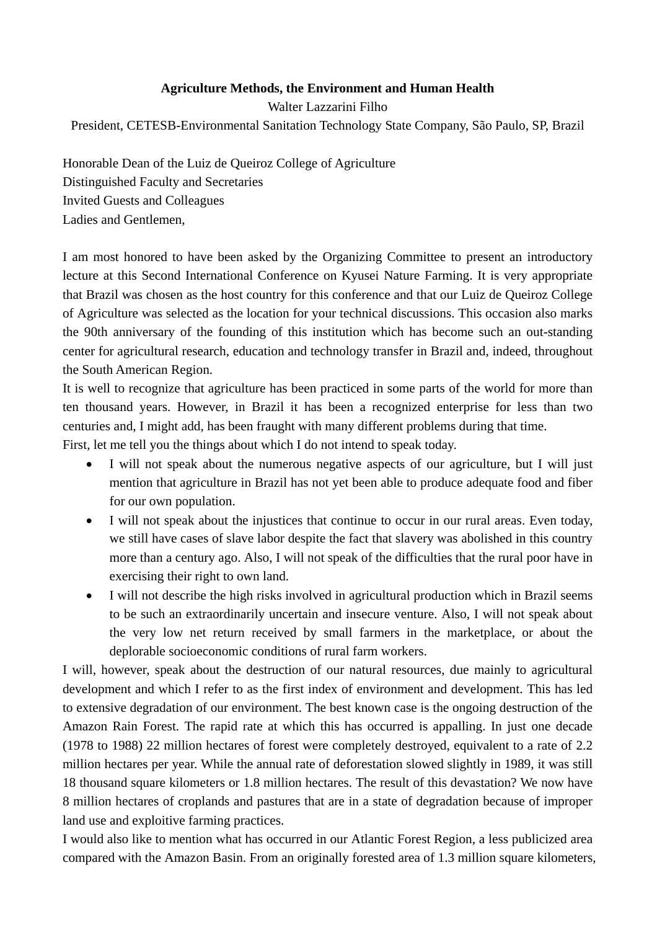## **Agriculture Methods, the Environment and Human Health**

Walter Lazzarini Filho President, CETESB-Environmental Sanitation Technology State Company, São Paulo, SP, Brazil

Honorable Dean of the Luiz de Queiroz College of Agriculture Distinguished Faculty and Secretaries Invited Guests and Colleagues Ladies and Gentlemen,

I am most honored to have been asked by the Organizing Committee to present an introductory lecture at this Second International Conference on Kyusei Nature Farming. It is very appropriate that Brazil was chosen as the host country for this conference and that our Luiz de Queiroz College of Agriculture was selected as the location for your technical discussions. This occasion also marks the 90th anniversary of the founding of this institution which has become such an out-standing center for agricultural research, education and technology transfer in Brazil and, indeed, throughout the South American Region.

It is well to recognize that agriculture has been practiced in some parts of the world for more than ten thousand years. However, in Brazil it has been a recognized enterprise for less than two centuries and, I might add, has been fraught with many different problems during that time. First, let me tell you the things about which I do not intend to speak today.

- I will not speak about the numerous negative aspects of our agriculture, but I will just mention that agriculture in Brazil has not yet been able to produce adequate food and fiber for our own population.
- I will not speak about the injustices that continue to occur in our rural areas. Even today, we still have cases of slave labor despite the fact that slavery was abolished in this country more than a century ago. Also, I will not speak of the difficulties that the rural poor have in exercising their right to own land.
- I will not describe the high risks involved in agricultural production which in Brazil seems to be such an extraordinarily uncertain and insecure venture. Also, I will not speak about the very low net return received by small farmers in the marketplace, or about the deplorable socioeconomic conditions of rural farm workers.

I will, however, speak about the destruction of our natural resources, due mainly to agricultural development and which I refer to as the first index of environment and development. This has led to extensive degradation of our environment. The best known case is the ongoing destruction of the Amazon Rain Forest. The rapid rate at which this has occurred is appalling. In just one decade (1978 to 1988) 22 million hectares of forest were completely destroyed, equivalent to a rate of 2.2 million hectares per year. While the annual rate of deforestation slowed slightly in 1989, it was still 18 thousand square kilometers or 1.8 million hectares. The result of this devastation? We now have 8 million hectares of croplands and pastures that are in a state of degradation because of improper land use and exploitive farming practices.

I would also like to mention what has occurred in our Atlantic Forest Region, a less publicized area compared with the Amazon Basin. From an originally forested area of 1.3 million square kilometers,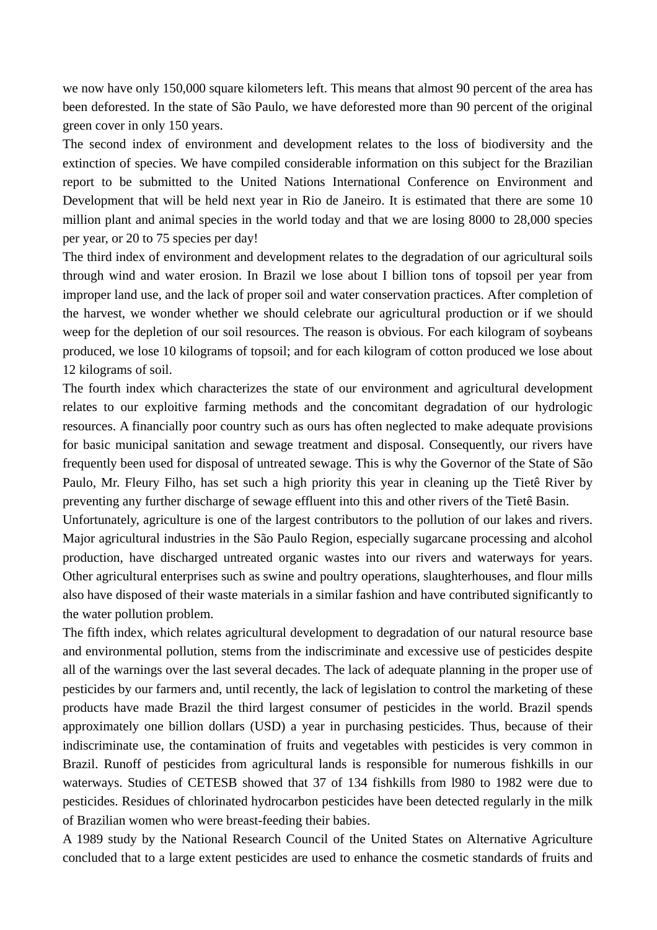we now have only 150,000 square kilometers left. This means that almost 90 percent of the area has been deforested. In the state of São Paulo, we have deforested more than 90 percent of the original green cover in only 150 years.

The second index of environment and development relates to the loss of biodiversity and the extinction of species. We have compiled considerable information on this subject for the Brazilian report to be submitted to the United Nations International Conference on Environment and Development that will be held next year in Rio de Janeiro. It is estimated that there are some 10 million plant and animal species in the world today and that we are losing 8000 to 28,000 species per year, or 20 to 75 species per day!

The third index of environment and development relates to the degradation of our agricultural soils through wind and water erosion. In Brazil we lose about I billion tons of topsoil per year from improper land use, and the lack of proper soil and water conservation practices. After completion of the harvest, we wonder whether we should celebrate our agricultural production or if we should weep for the depletion of our soil resources. The reason is obvious. For each kilogram of soybeans produced, we lose 10 kilograms of topsoil; and for each kilogram of cotton produced we lose about 12 kilograms of soil.

The fourth index which characterizes the state of our environment and agricultural development relates to our exploitive farming methods and the concomitant degradation of our hydrologic resources. A financially poor country such as ours has often neglected to make adequate provisions for basic municipal sanitation and sewage treatment and disposal. Consequently, our rivers have frequently been used for disposal of untreated sewage. This is why the Governor of the State of São Paulo, Mr. Fleury Filho, has set such a high priority this year in cleaning up the Tietê River by preventing any further discharge of sewage effluent into this and other rivers of the Tietê Basin.

Unfortunately, agriculture is one of the largest contributors to the pollution of our lakes and rivers. Major agricultural industries in the São Paulo Region, especially sugarcane processing and alcohol production, have discharged untreated organic wastes into our rivers and waterways for years. Other agricultural enterprises such as swine and poultry operations, slaughterhouses, and flour mills also have disposed of their waste materials in a similar fashion and have contributed significantly to the water pollution problem.

The fifth index, which relates agricultural development to degradation of our natural resource base and environmental pollution, stems from the indiscriminate and excessive use of pesticides despite all of the warnings over the last several decades. The lack of adequate planning in the proper use of pesticides by our farmers and, until recently, the lack of legislation to control the marketing of these products have made Brazil the third largest consumer of pesticides in the world. Brazil spends approximately one billion dollars (USD) a year in purchasing pesticides. Thus, because of their indiscriminate use, the contamination of fruits and vegetables with pesticides is very common in Brazil. Runoff of pesticides from agricultural lands is responsible for numerous fishkills in our waterways. Studies of CETESB showed that 37 of 134 fishkills from l980 to 1982 were due to pesticides. Residues of chlorinated hydrocarbon pesticides have been detected regularly in the milk of Brazilian women who were breast-feeding their babies.

A 1989 study by the National Research Council of the United States on Alternative Agriculture concluded that to a large extent pesticides are used to enhance the cosmetic standards of fruits and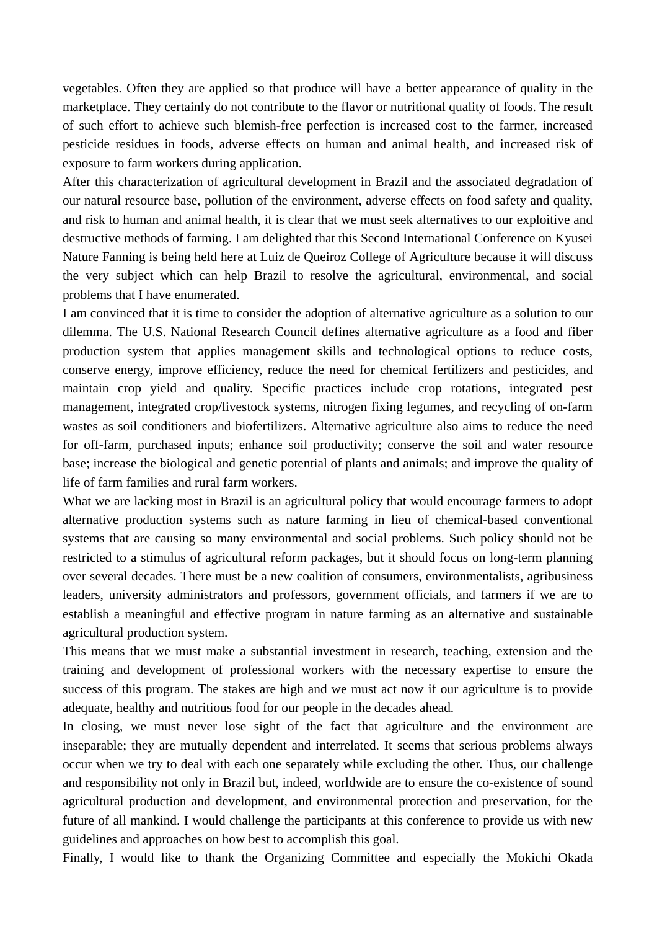vegetables. Often they are applied so that produce will have a better appearance of quality in the marketplace. They certainly do not contribute to the flavor or nutritional quality of foods. The result of such effort to achieve such blemish-free perfection is increased cost to the farmer, increased pesticide residues in foods, adverse effects on human and animal health, and increased risk of exposure to farm workers during application.

After this characterization of agricultural development in Brazil and the associated degradation of our natural resource base, pollution of the environment, adverse effects on food safety and quality, and risk to human and animal health, it is clear that we must seek alternatives to our exploitive and destructive methods of farming. I am delighted that this Second International Conference on Kyusei Nature Fanning is being held here at Luiz de Queiroz College of Agriculture because it will discuss the very subject which can help Brazil to resolve the agricultural, environmental, and social problems that I have enumerated.

I am convinced that it is time to consider the adoption of alternative agriculture as a solution to our dilemma. The U.S. National Research Council defines alternative agriculture as a food and fiber production system that applies management skills and technological options to reduce costs, conserve energy, improve efficiency, reduce the need for chemical fertilizers and pesticides, and maintain crop yield and quality. Specific practices include crop rotations, integrated pest management, integrated crop/livestock systems, nitrogen fixing legumes, and recycling of on-farm wastes as soil conditioners and biofertilizers. Alternative agriculture also aims to reduce the need for off-farm, purchased inputs; enhance soil productivity; conserve the soil and water resource base; increase the biological and genetic potential of plants and animals; and improve the quality of life of farm families and rural farm workers.

What we are lacking most in Brazil is an agricultural policy that would encourage farmers to adopt alternative production systems such as nature farming in lieu of chemical-based conventional systems that are causing so many environmental and social problems. Such policy should not be restricted to a stimulus of agricultural reform packages, but it should focus on long-term planning over several decades. There must be a new coalition of consumers, environmentalists, agribusiness leaders, university administrators and professors, government officials, and farmers if we are to establish a meaningful and effective program in nature farming as an alternative and sustainable agricultural production system.

This means that we must make a substantial investment in research, teaching, extension and the training and development of professional workers with the necessary expertise to ensure the success of this program. The stakes are high and we must act now if our agriculture is to provide adequate, healthy and nutritious food for our people in the decades ahead.

In closing, we must never lose sight of the fact that agriculture and the environment are inseparable; they are mutually dependent and interrelated. It seems that serious problems always occur when we try to deal with each one separately while excluding the other. Thus, our challenge and responsibility not only in Brazil but, indeed, worldwide are to ensure the co-existence of sound agricultural production and development, and environmental protection and preservation, for the future of all mankind. I would challenge the participants at this conference to provide us with new guidelines and approaches on how best to accomplish this goal.

Finally, I would like to thank the Organizing Committee and especially the Mokichi Okada